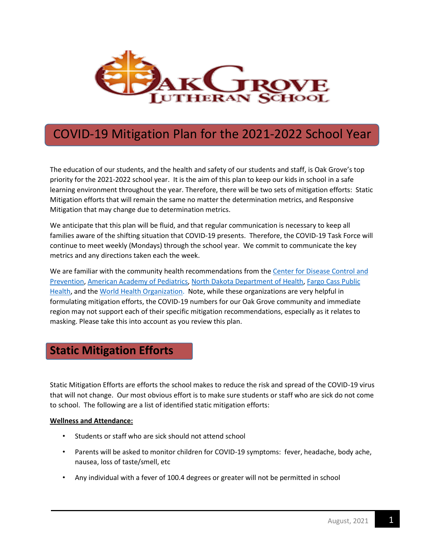

# COVID-19 Mitigation Plan for the 2021-2022 School Year

The education of our students, and the health and safety of our students and staff, is Oak Grove's top priority for the 2021-2022 school year. It is the aim of this plan to keep our kids in school in a safe learning environment throughout the year. Therefore, there will be two sets of mitigation efforts: Static Mitigation efforts that will remain the same no matter the determination metrics, and Responsive Mitigation that may change due to determination metrics.

We anticipate that this plan will be fluid, and that regular communication is necessary to keep all families aware of the shifting situation that COVID-19 presents. Therefore, the COVID-19 Task Force will continue to meet weekly (Mondays) through the school year. We commit to communicate the key metrics and any directions taken each the week.

We are familiar with the community health recommendations from the Center for Disease Control and [Prevention,](https://www.cdc.gov/) [American Academy of Pediatrics,](https://www.aap.org/) [North Dakota Department of Health,](https://www.health.nd.gov/schools-child-care-universities) [Fargo Cass Public](https://fargond.gov/city-government/departments/fargo-cass-public-health/coronavirus-disease-2019-covid-19)  [Health,](https://fargond.gov/city-government/departments/fargo-cass-public-health/coronavirus-disease-2019-covid-19) and th[e World Health Organization.](https://www.who.int/emergencies/diseases/novel-coronavirus-2019) Note, while these organizations are very helpful in formulating mitigation efforts, the COVID-19 numbers for our Oak Grove community and immediate region may not support each of their specific mitigation recommendations, especially as it relates to masking. Please take this into account as you review this plan.

### **Static Mitigation Efforts**

Static Mitigation Efforts are efforts the school makes to reduce the risk and spread of the COVID-19 virus that will not change. Our most obvious effort is to make sure students or staff who are sick do not come to school. The following are a list of identified static mitigation efforts:

### **Wellness and Attendance:**

- Students or staff who are sick should not attend school
- Parents will be asked to monitor children for COVID-19 symptoms: fever, headache, body ache, nausea, loss of taste/smell, etc
- Any individual with a fever of 100.4 degrees or greater will not be permitted in school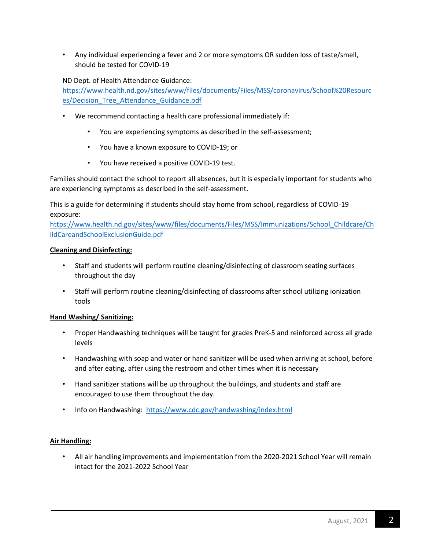• Any individual experiencing a fever and 2 or more symptoms OR sudden loss of taste/smell, should be tested for COVID-19

### ND Dept. of Health Attendance Guidance:

[https://www.health.nd.gov/sites/www/files/documents/Files/MSS/coronavirus/School%20Resourc](https://www.health.nd.gov/sites/www/files/documents/Files/MSS/coronavirus/School%20Resources/Decision_Tree_Attendance_Guidance.pdf) [es/Decision\\_Tree\\_Attendance\\_Guidance.pdf](https://www.health.nd.gov/sites/www/files/documents/Files/MSS/coronavirus/School%20Resources/Decision_Tree_Attendance_Guidance.pdf)

- We recommend contacting a health care professional immediately if:
	- You are experiencing symptoms as described in the self-assessment;
	- You have a known exposure to COVID-19; or
	- You have received a positive COVID-19 test.

Families should contact the school to report all absences, but it is especially important for students who are experiencing symptoms as described in the self-assessment.

This is a guide for determining if students should stay home from school, regardless of COVID-19 exposure:

[https://www.health.nd.gov/sites/www/files/documents/Files/MSS/Immunizations/School\\_Childcare/Ch](https://www.health.nd.gov/sites/www/files/documents/Files/MSS/Immunizations/School_Childcare/ChildCareandSchoolExclusionGuide.pdf) [ildCareandSchoolExclusionGuide.pdf](https://www.health.nd.gov/sites/www/files/documents/Files/MSS/Immunizations/School_Childcare/ChildCareandSchoolExclusionGuide.pdf)

### **Cleaning and Disinfecting:**

- Staff and students will perform routine cleaning/disinfecting of classroom seating surfaces throughout the day
- Staff will perform routine cleaning/disinfecting of classrooms after school utilizing ionization tools

### **Hand Washing/ Sanitizing:**

- Proper Handwashing techniques will be taught for grades PreK-5 and reinforced across all grade levels
- Handwashing with soap and water or hand sanitizer will be used when arriving at school, before and after eating, after using the restroom and other times when it is necessary
- Hand sanitizer stations will be up throughout the buildings, and students and staff are encouraged to use them throughout the day.
- Info on Handwashing:<https://www.cdc.gov/handwashing/index.html>

### **Air Handling:**

• All air handling improvements and implementation from the 2020-2021 School Year will remain intact for the 2021-2022 School Year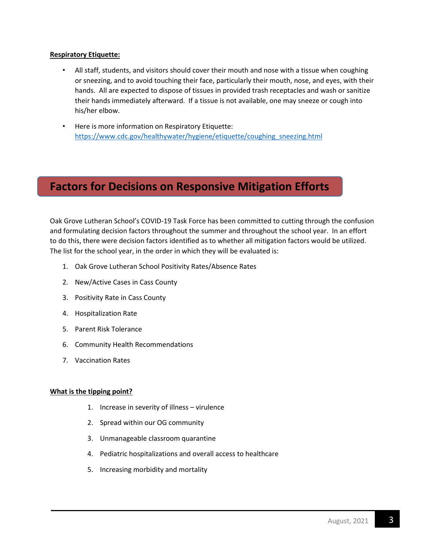### **Respiratory Etiquette:**

- All staff, students, and visitors should cover their mouth and nose with a tissue when coughing or sneezing, and to avoid touching their face, particularly their mouth, nose, and eyes, with their hands. All are expected to dispose of tissues in provided trash receptacles and wash or sanitize their hands immediately afterward. If a tissue is not available, one may sneeze or cough into his/her elbow.
- Here is more information on Respiratory Etiquette: [https://www.cdc.gov/healthywater/hygiene/etiquette/coughing\\_sneezing.html](https://www.cdc.gov/healthywater/hygiene/etiquette/coughing_sneezing.html)

## **Factors for Decisions on Responsive Mitigation Efforts**

Oak Grove Lutheran School's COVID-19 Task Force has been committed to cutting through the confusion and formulating decision factors throughout the summer and throughout the school year. In an effort to do this, there were decision factors identified as to whether all mitigation factors would be utilized. The list for the school year, in the order in which they will be evaluated is:

- 1. Oak Grove Lutheran School Positivity Rates/Absence Rates
- 2. New/Active Cases in Cass County
- 3. Positivity Rate in Cass County
- 4. Hospitalization Rate
- 5. Parent Risk Tolerance
- 6. Community Health Recommendations
- 7. Vaccination Rates

#### **What is the tipping point?**

- 1. Increase in severity of illness virulence
- 2. Spread within our OG community
- 3. Unmanageable classroom quarantine
- 4. Pediatric hospitalizations and overall access to healthcare
- 5. Increasing morbidity and mortality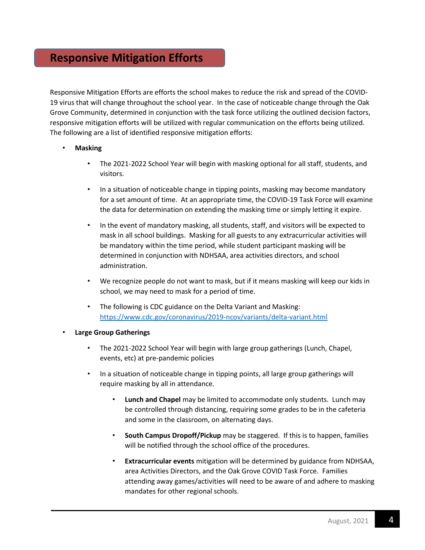### **Responsive Mitigation Efforts**

Responsive Mitigation Efforts are efforts the school makes to reduce the risk and spread of the COVID-19 virus that will change throughout the school year. In the case of noticeable change through the Oak Grove Community, determined in conjunction with the task force utilizing the outlined decision factors, responsive mitigation efforts will be utilized with regular communication on the efforts being utilized. The following are a list of identified responsive mitigation efforts:

- **Masking**
	- The 2021-2022 School Year will begin with masking optional for all staff, students, and visitors.
	- In a situation of noticeable change in tipping points, masking may become mandatory for a set amount of time. At an appropriate time, the COVID-19 Task Force will examine the data for determination on extending the masking time or simply letting it expire.
	- In the event of mandatory masking, all students, staff, and visitors will be expected to mask in all school buildings. Masking for all guests to any extracurricular activities will be mandatory within the time period, while student participant masking will be determined in conjunction with NDHSAA, area activities directors, and school administration.
	- We recognize people do not want to mask, but if it means masking will keep our kids in school, we may need to mask for a period of time.
	- The following is CDC guidance on the Delta Variant and Masking: <https://www.cdc.gov/coronavirus/2019-ncov/variants/delta-variant.html>

#### • **Large Group Gatherings**

- The 2021-2022 School Year will begin with large group gatherings (Lunch, Chapel, events, etc) at pre-pandemic policies
- In a situation of noticeable change in tipping points, all large group gatherings will require masking by all in attendance.
	- **Lunch and Chapel** may be limited to accommodate only students. Lunch may be controlled through distancing, requiring some grades to be in the cafeteria and some in the classroom, on alternating days.
	- **South Campus Dropoff/Pickup** may be staggered. If this is to happen, families will be notified through the school office of the procedures.
	- **Extracurricular events** mitigation will be determined by guidance from NDHSAA, area Activities Directors, and the Oak Grove COVID Task Force. Families attending away games/activities will need to be aware of and adhere to masking mandates for other regional schools.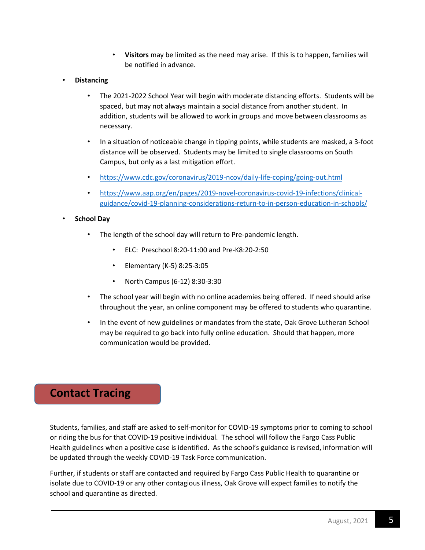- **Visitors** may be limited as the need may arise. If this is to happen, families will be notified in advance.
- **Distancing**
	- The 2021-2022 School Year will begin with moderate distancing efforts. Students will be spaced, but may not always maintain a social distance from another student. In addition, students will be allowed to work in groups and move between classrooms as necessary.
	- In a situation of noticeable change in tipping points, while students are masked, a 3-foot distance will be observed. Students may be limited to single classrooms on South Campus, but only as a last mitigation effort.
	- <https://www.cdc.gov/coronavirus/2019-ncov/daily-life-coping/going-out.html>
	- [https://www.aap.org/en/pages/2019-novel-coronavirus-covid-19-infections/clinical](https://www.aap.org/en/pages/2019-novel-coronavirus-covid-19-infections/clinical-guidance/covid-19-planning-considerations-return-to-in-person-education-in-schools/)[guidance/covid-19-planning-considerations-return-to-in-person-education-in-schools/](https://www.aap.org/en/pages/2019-novel-coronavirus-covid-19-infections/clinical-guidance/covid-19-planning-considerations-return-to-in-person-education-in-schools/)

### • **School Day**

- The length of the school day will return to Pre-pandemic length.
	- ELC: Preschool 8:20-11:00 and Pre-K8:20-2:50
	- Elementary (K-5) 8:25-3:05
	- North Campus (6-12) 8:30-3:30
- The school year will begin with no online academies being offered. If need should arise throughout the year, an online component may be offered to students who quarantine.
- In the event of new guidelines or mandates from the state, Oak Grove Lutheran School may be required to go back into fully online education. Should that happen, more communication would be provided.

### **Contact Tracing**

Students, families, and staff are asked to self-monitor for COVID-19 symptoms prior to coming to school or riding the bus for that COVID-19 positive individual. The school will follow the Fargo Cass Public Health guidelines when a positive case is identified. As the school's guidance is revised, information will be updated through the weekly COVID-19 Task Force communication.

Further, if students or staff are contacted and required by Fargo Cass Public Health to quarantine or isolate due to COVID-19 or any other contagious illness, Oak Grove will expect families to notify the school and quarantine as directed.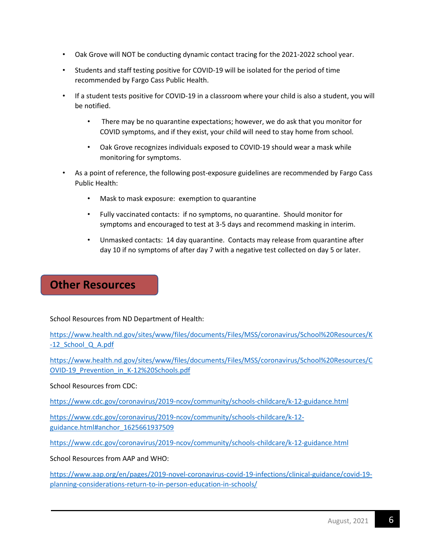- Oak Grove will NOT be conducting dynamic contact tracing for the 2021-2022 school year.
- Students and staff testing positive for COVID-19 will be isolated for the period of time recommended by Fargo Cass Public Health.
- If a student tests positive for COVID-19 in a classroom where your child is also a student, you will be notified.
	- There may be no quarantine expectations; however, we do ask that you monitor for COVID symptoms, and if they exist, your child will need to stay home from school.
	- Oak Grove recognizes individuals exposed to COVID-19 should wear a mask while monitoring for symptoms.
- As a point of reference, the following post-exposure guidelines are recommended by Fargo Cass Public Health:
	- Mask to mask exposure: exemption to quarantine
	- Fully vaccinated contacts: if no symptoms, no quarantine. Should monitor for symptoms and encouraged to test at 3-5 days and recommend masking in interim.
	- Unmasked contacts: 14 day quarantine. Contacts may release from quarantine after day 10 if no symptoms of after day 7 with a negative test collected on day 5 or later.

### **Other Resources**

School Resources from ND Department of Health:

[https://www.health.nd.gov/sites/www/files/documents/Files/MSS/coronavirus/School%20Resources/K](https://www.health.nd.gov/sites/www/files/documents/Files/MSS/coronavirus/School%20Resources/K-12_School_Q_A.pdf) [-12\\_School\\_Q\\_A.pdf](https://www.health.nd.gov/sites/www/files/documents/Files/MSS/coronavirus/School%20Resources/K-12_School_Q_A.pdf)

[https://www.health.nd.gov/sites/www/files/documents/Files/MSS/coronavirus/School%20Resources/C](https://www.health.nd.gov/sites/www/files/documents/Files/MSS/coronavirus/School%20Resources/COVID-19_Prevention_in_K-12%20Schools.pdf) [OVID-19\\_Prevention\\_in\\_K-12%20Schools.pdf](https://www.health.nd.gov/sites/www/files/documents/Files/MSS/coronavirus/School%20Resources/COVID-19_Prevention_in_K-12%20Schools.pdf)

School Resources from CDC:

<https://www.cdc.gov/coronavirus/2019-ncov/community/schools-childcare/k-12-guidance.html>

[https://www.cdc.gov/coronavirus/2019-ncov/community/schools-childcare/k-12](https://www.cdc.gov/coronavirus/2019-ncov/community/schools-childcare/k-12-guidance.html#anchor_1625661937509) [guidance.html#anchor\\_1625661937509](https://www.cdc.gov/coronavirus/2019-ncov/community/schools-childcare/k-12-guidance.html#anchor_1625661937509)

<https://www.cdc.gov/coronavirus/2019-ncov/community/schools-childcare/k-12-guidance.html>

School Resources from AAP and WHO:

[https://www.aap.org/en/pages/2019-novel-coronavirus-covid-19-infections/clinical-guidance/covid-19](https://www.aap.org/en/pages/2019-novel-coronavirus-covid-19-infections/clinical-guidance/covid-19-planning-considerations-return-to-in-person-education-in-schools/) [planning-considerations-return-to-in-person-education-in-schools/](https://www.aap.org/en/pages/2019-novel-coronavirus-covid-19-infections/clinical-guidance/covid-19-planning-considerations-return-to-in-person-education-in-schools/)